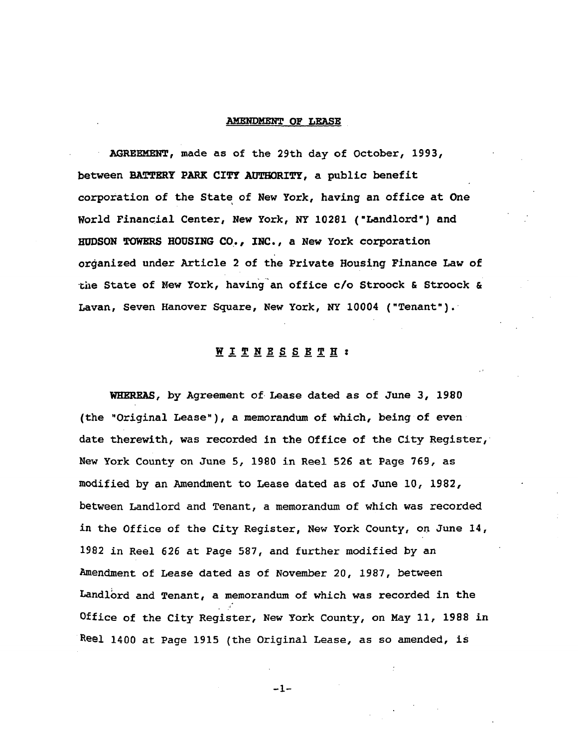## **AMENDMENT OF LEASE**

**AGR**EE**M**E**NT,** ma**de** as o**f th**e **29th d**a**y** o**f Octob**e**r,** 1**993, between BATT**E**R**Y **PA**RK **CITY AUTH**O**RITY, a publi**c **benefit c**o**rporation** o**f the State** o**f New Y**o**rk, having an** o**ffice at One W**o**rld F**i**n**a**nci**al **Cen**t**er, N**e**w Y**o**rk, NY** 10**28**1 **('L**a**nd**lo**rd"}** a**nd HUDSON TOW**E**RS H**O**USING CO., INC., a New Y**o**rk c**o**rp**o**r**a**ti**o**n** o**r**g**anized under** A**rti**c**l**e **2** o**f the Private H**o**using Finan**c**e Law** o**f** t**he S**tat**e** o**f** Ne**w York, h**a**ving**'a**n** o**ffice c**/o **Str**oo**ck & S**t**r**oo**ck & Lavan, Seven Hanover** S**qu**a**re, New Y**o**rk, NY** 1000**4 ("Tenant").**

## **WITN**E**S**S E**T**H z

**W**RRRE**AS, by Agre**e**m**e**nt of L**e**ase dated as** o**f J**u**ne 3,** 1**980 (**t**he "Origina**l **L**ea**se"),** a m**emor**a**n**du**m** o**f which, being** o**f ev**e**n dat**e t**herewi**t**h, w**as **recorded** i**n** t**he Office of the City Register, N**e**w York County on June 5,** 1**98**0 **in Reel 526 at Page 76**9**, a**s **m**o**dified by** a**n Amendmen**t t**o Lease d**at**ed** a**s** o**f June** 10**,** 1**982,** b**etween L**a**ndlord** an**d Ten**a**n**t**,** a m**e**m**or**a**nd**um **o**f **which w**as **recorded** i**n the Office of the City Register, New Y**o**rk C**o**unty,** o**n. June** 1**4,** 19**82 i**n Re**el 626** a**t Page 58**7**,** a**nd furth**e**r** m**odified by an** Amendment **o**f Lease dated as of N**o**vember 20**,** 1987**,** between Land**l**\_rd and **T**enant**,** a memorand**u**m of which was reco**r**ded in the Office of the City **R**egis**t**er, New **Y**ork County, on May ii, 1988 in Reel 1400 at Page 1915 (the Original Lease, as so amended, **i**s

**-**1**-**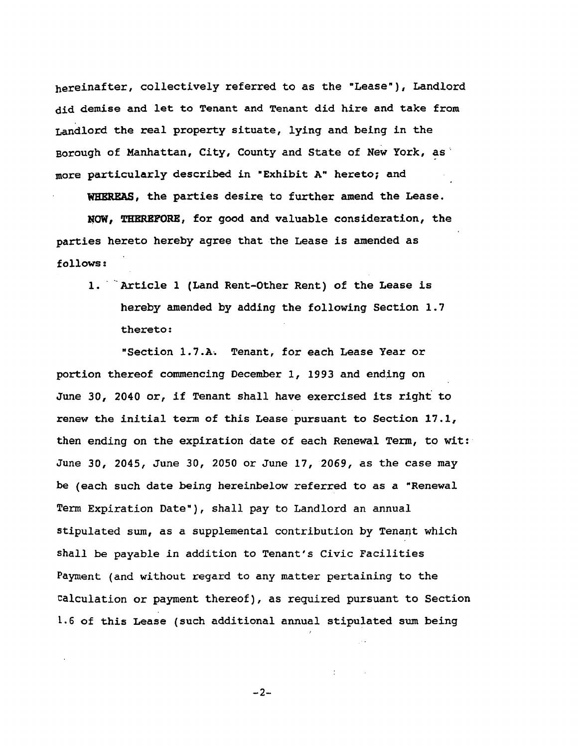**h**erei**n**a**ft**er, colle**c**ti**v**ely ref**e**rred t**o** as the **"Le**as**e**"**), L**a**n**dl**o**r**d** did demise and let to **T**enant and **T**enant **d**i**d** hire an**d** take from Land**l**ord the **r**ea**l** p**r**operty sit**u**at**e**, l**y**ing and being in the Borou**g**h of Manhattan, City, County and State of New York, as more parti**c**ul**a**rly describe**d** in "**E**xhibit A**"** hereto; and

W**HER**EAS, the parties **d**esire to further amend the Lease.

H**O**W, **TH**ER**EFORE**, for **g**ood and val**u**able **c**onside**r**atio**n**, the parties hereto hereby agree that the Lease is amended as **f**ollows:

i. "Art**i**cle i (Land Rent-Other Rent) of the **L**ease is hereby amended by adding the following Section 1.7 thereto:

**"**Section 1.7.A\_ **T**enant, for each Lease Year or por**t**ion thereof commencing Decem**b**er I, 1993 and ending on June 30, 2040 or, if Tenant **s**hall have exercised its righ**t** to renew the initial term of this Lease pursuant to Section 17.1, then ending on the expiration date of each Renewal Term, to wit: J**u**ne 30, 2045, June 30, 2050 or June 17, 2069, as the case may be (each such date being hereinbelow **r**efer**r**ed to as a **"**Renewa**l T**erm Expiration Date**"**), shall pay to Landlord an annual stipulated s**u**m, as a supplemental contribution by Tenant which shall be payable in addition to Tenant's Civic Facilities Payment (and without regard to any matter pertaining to the \_alc**u**lation or payment thereof), as required pursuant to Section [.6 of **t**his Lease **(s**uch addi**t**ional annual stip**u**lated s**um** being

 $-2-$ 

/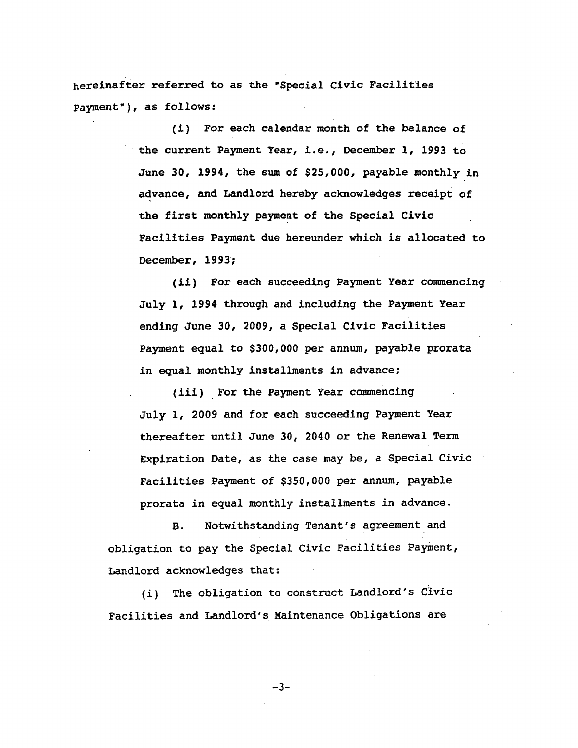hereinafter referred to as the "Special Civic Facilities Payment"), as follows:

> (i) For each calendar month of the balance of the current Payment Year, i.e., December 1, 1993 to June 30, 1994, the sum of \$25,000, payable monthly in advance, and Landlord hereby acknowledges receipt of the first monthly payment of the Special Civic Facilities Payment due hereunder which is allocated to December, 1993;

> (ii) For each succeeding Payment Year commencing July 1, 1994 through and including the Payment Year ending June 30, 2009, a Special Civic Facilities Payment equal to \$300,000 per annum, payable prorata in equal monthly installments in advance;

(iii) For the Payment Year commencing July 1, 2009 and for each succeeding Payment Year thereafter until June 30, 2040 or the Renewal Term Expiration Date, as the case may be, a Special Civic Facilities Payment of \$350,000 per annum, payable prorata in equal monthly installments in advance.

Notwithstanding Tenant's agreement and **B.** obligation to pay the Special Civic Facilities Payment, Landlord acknowledges that:

The obligation to construct Landlord's Civic  $(i)$ Facilities and Landlord's Maintenance Obligations are

 $-3-$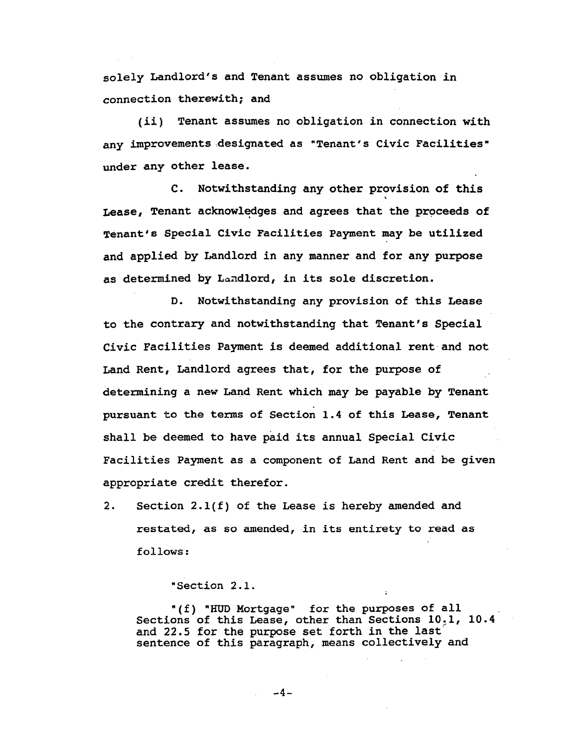s**o**lely **L**a**n**dl**or**d**'**s a**nd T**ena**nt** assu**m**es **n**o **ob**l**ig**a**ti**o**n** i**n** c**onnection therewith; and**

**(ii) Tenant** a**ssumes no ob**l**ig**a**ti**o**n in connection with** a**ny improve**me**nts** d**esigna**t**ed** a**s** "**Ten**a**n**t**'s Civic Facilities" und**e**r** a**ny** o**ther le**a**se.**

**C. N**o**twithst**a**nding** a**ny** o**ther pr**o**vision** o**f this** l **Le**as**e, Tenan**t ac**kn**o**wl**e**dges** a**nd** a**gr**e**es th**a**t** t**he Pr**o**ceeds** o**f Ten**a**nt**'**s Spe**c**ial Civic Faciliti**e**s P**a**yment m**a**y b**e **utilized** a**nd applied by Land**l**ord in any manner and f**o**r any purp**o**se** a**s det**e**rmined by L**an**dlord, in its sole di**s**creti**o**n.**

**D. N**o**twithst**a**nding** a**ny pr**o**visi**o**n of** t**hi**s **Le**a**s**e t**o the c**o**ntrary and n**o**twiths**t**anding that Tenant's Special Civic Facilities Payment is deemed** a**dditi**o**n**a**l rentand n**o**t** Land Rent, Landlord agrees that, for the purpose of **determining** a **ne**w **Land Rent which may be p**a**y**a**b**l**e by Tenant pursuant** t**o the te**rm**s** o**f Section** 1**.4** o**f this Lease, Tenant** s**h**all **be deemed** t**o have paid i**t**s annual Speci**al **Civic Facilitie**s **P**aym**ent** a**s** a **component of Land Rent and be given appropriate credit** t**herefor.**

**2.** S**ection 2.**1**(f) o**f t**he Lease is hereby amended and** restated**,** as **so** amen**d**e**d, i**n its ent**ir**e**ty** t**o** read as follows:

**"**Section 2.1.

"(f) **"H**UD Mortgage" for the purposes of all Sections of this Lease, other than Sections 10.1, 10.4 and 22.5 for the purpose set forth in the last sentence of this paragraph, means collectively and

 $-4-$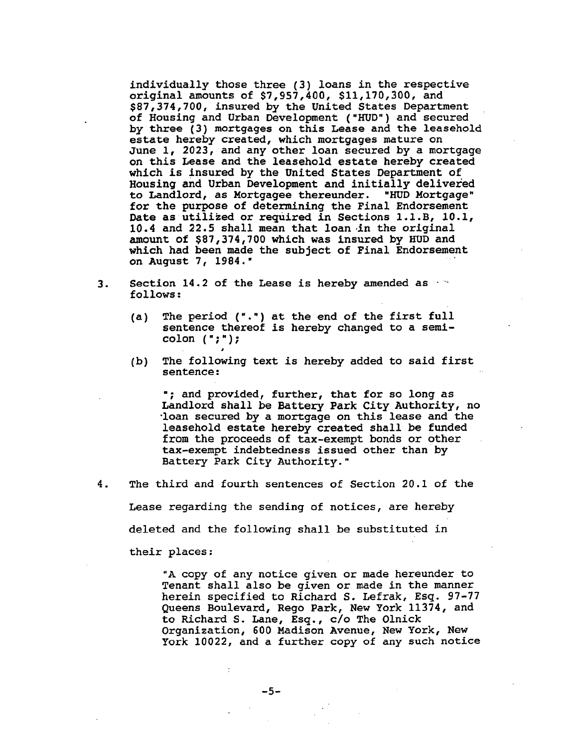individually those three (3) loans in the respective original amounts of \$7,957,400, \$11,170,300, and \$87,374,700, insured by the United States Department of Housing and Urban Development ("HUD") and secured by three (3) mortgages on this Lease and the leasehold estate hereby created, which mortgages mature on June 1, 2023, and any other loan secured by a mortgage on this Lease and the leasehold estate hereby created which is insured by the United States Department of Housing and Urban Development and initially delivered to Landlord, as Mortgagee thereunder. "HUD Mortgage" for the purpose of determining the Final Endorsement Date as utilized or required in Sections 1.1.B, 10.1, 10.4 and 22.5 shall mean that loan in the original amount of \$87,374,700 which was insured by HUD and which had been made the subject of Final Endorsement on August 7, 1984."

- Section 14.2 of the Lease is hereby amended as 3. follows:
	- The period (".") at the end of the first full  $(a)$ sentence thereof is hereby changed to a semicolon  $(\cdot;\cdot)$  ;
	- The following text is hereby added to said first  $(b)$ sentence:

"; and provided, further, that for so long as Landlord shall be Battery Park City Authority, no loan secured by a mortgage on this lease and the leasehold estate hereby created shall be funded from the proceeds of tax-exempt bonds or other tax-exempt indebtedness issued other than by Battery Park City Authority."

The third and fourth sentences of Section 20.1 of the 4.

Lease regarding the sending of notices, are hereby

deleted and the following shall be substituted in

their places:

"A copy of any notice given or made hereunder to Tenant shall also be given or made in the manner herein specified to Richard S. Lefrak, Esq. 97-77 Queens Boulevard, Rego Park, New York 11374, and to Richard S. Lane, Esq., c/o The Olnick Organization, 600 Madison Avenue, New York, New York 10022, and a further copy of any such notice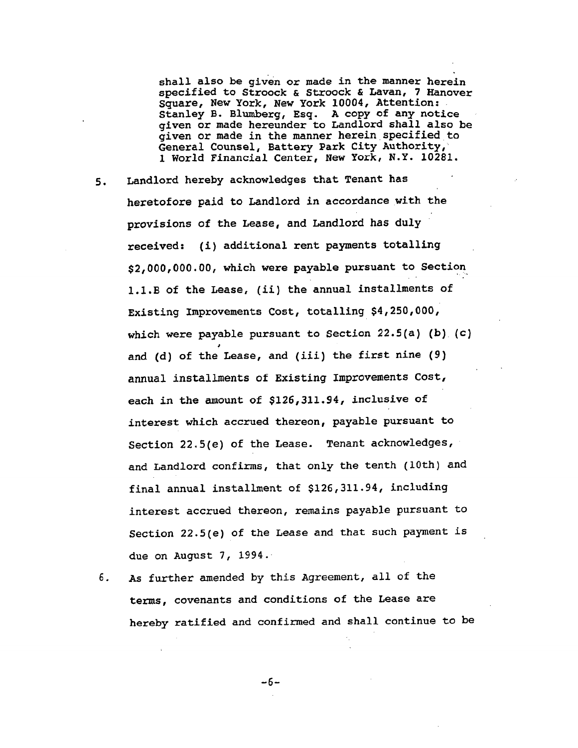**sha**ll **a**lso **be given** o**r** m**ad**e **in the manner herein spe**c**ified** to **Stro**oc**k &** S**tr**o**ock & L**a**v**a**n,** 7 **Hanover Square, Ne**w **Y**o**rk, Ne**w **Y**o**rk** 10**004, Attent**i**on**= **Stanley B. Blumberg,** E**sq. A copy** o**f any n**o**tice giv**e**n** o**r m**a**d**e h**er**e**under** t**o L**an**dlord** s**h**a**ll also be give**n **or made in the manner hereinspecified to General Counsel**, **Ba**t**tery Park City Auth**o**rity,** ' **1 World F**ina**nci**a**l C**e**nt**e**r, N**e**w York, N.Y. 1**0**28**1**.**

- **5. Landl**o**rd hereby acknowledges** t**hat T**e**nant h**a**s heret**o**f**o**re paid to Landlord in ac**c**ordance with the pr**o**v**is**ion**s **of the Lease**, a**nd Land**lo**rd h**as **duly r**ec**eiv**e**d**: **(**i**)** a**dditi**o**n**al **rent p**a**ym**e**nts tot**all**ing \$2,0**00**,**0**00.00, which were payable pursuant to Secti**o**n**. 1**.**1**.B of the Lease, (i**i**) the annual instal**l**ments of Existing I**m**pr**o**v**eme**n**ts **Co**s**t, tot**al**ling** \$**4,25**0**,**0**00, whi**c**h w**e**re pa**ya**ble pursu**a**nt t**o **S**e**ction 22.5(**a**) (b) (c) and (d)** o**f th**e **Le**a**s**e**, and (i**i**i)** t**h**e **first** n**in**e **(9)** ann**u**a**l** i**ns**ta**ll**m**en**t**s o**f **Exi**st**ing I**m**pr**o**ve**m**en**ts **C**ost**,** eac**h in th**e a**moun**t o**f \$**1**26,3**11**.**9**4, i**nc**lu**s**iv**e **of in**t**erest which accrued thereon, payable pursuant t**o **Section 22.5(**e**)** o**f the L**e**ase. T**e**nant a**ck**now**le**dg**e**s,** a**nd Landlord** c**onfirm**s**,** t**ha**t **only the t**en**th (**1**0**t**h)** a**nd fina**l a**nnu**a**l inst**al**l**m**e**n**t of \$**1**26,3**11**.94, i**n**c**l**uding inter**e**st** a**ccru**e**d ther**e**on, remains pay**a**b**le **p**u**rsuant** t**o** Se**c**t**io**n 22.**5**(e**) o**f the **L**ease and that such payment is due on August 7, 1994.
- 6. As further amended by this Agreement, all of the ter**m**s, covenants and con**d**itions of the Lease are hereby ratified and confirmed and shall continue to be

-6**-**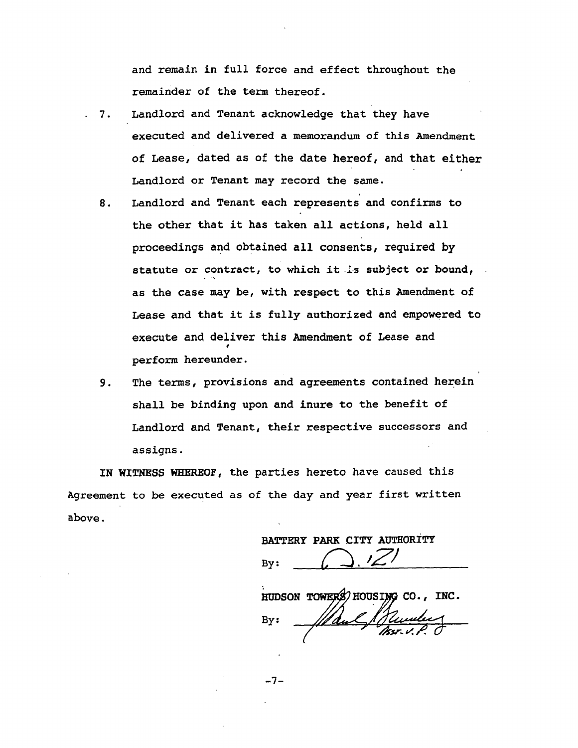a**nd r**em**a**i**n in full f**o**rce** a**nd effe**c**t** t**hrough**o**ut** t**he r**emainder **o**f t**h**e t**e**rm t**h**ere**o**f.

- 7. Landlord and Tenant acknowledge that they have executed and delivered a mem**o**randum **o**f this Amendment of Lease, dated as of the date hereof, and that either Landlord or Tenant may re**c**ord the same.
- 8. Landlord and Tenant each represents and **c**onfirms to the other that it has ta**k**e**n** all actions, held all proceedings and obtained all consents, req**u**ired by **st**atute or **c**ontra**c**t, to whi**c**h itls su**b**ject or **b**oun**d**, as the case may be, with respect to this Ame**n**dment of **L**ease and that it is f**u**lly a**u**thorized and empowered to exe**c**ute and delive**r** th**i**s Amendment of Lease and pe**r**form hereun**de**r.
- 9. **T**he terms, provisions and agreements **c**ontained herein shall **b**e **b**inding **u**pon and inure to the benefit of Landlord and **T**enant, their respective s**u**ccessors and assigns. •

**IN** WI**T**NESS W**H**E**R**EOF, the parties hereto have caused this Agreement to be executed as of the day and year first written **a**bove.

**BA**T**TERY PA**R**K** C**ITY AUTHORIT**Y  $Bv:$ 

HUDSON TOWERS HOUSING CO., INC.

 $BY:$ (

-7-